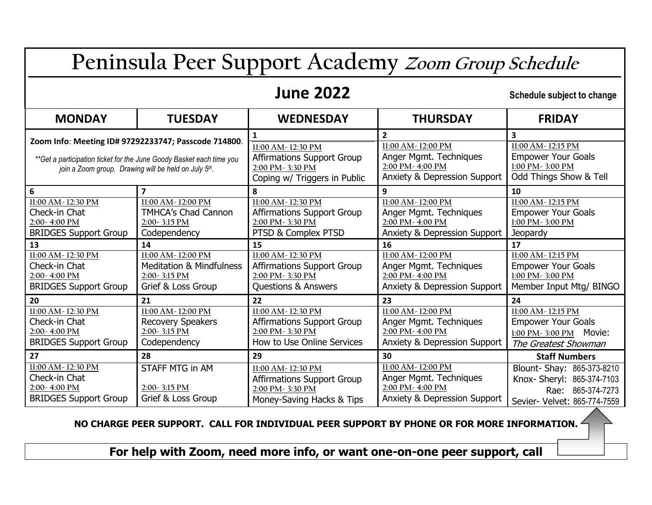# **Peninsula Peer Support Academy Zoom Group Schedule**

## **1une 2022** Schedule subject to change

| <b>MONDAY</b>                                                                                                                                                                        | <b>TUESDAY</b>                                                       | <b>WEDNESDAY</b>                                                                                                 | <b>THURSDAY</b>                                                                                                                 | <b>FRIDAY</b>                                                                                                                         |
|--------------------------------------------------------------------------------------------------------------------------------------------------------------------------------------|----------------------------------------------------------------------|------------------------------------------------------------------------------------------------------------------|---------------------------------------------------------------------------------------------------------------------------------|---------------------------------------------------------------------------------------------------------------------------------------|
| Zoom Info: Meeting ID# 97292233747; Passcode 714800.<br>**Get a participation ticket for the June Goody Basket each time you<br>join a Zoom group. Drawing will be held on July 5th. |                                                                      | 11:00 AM - 12:30 PM<br><b>Affirmations Support Group</b><br>2:00 PM - 3:30 PM<br>Coping w/ Triggers in Public    | $\overline{2}$<br>11:00 AM - 12:00 PM<br>Anger Mgmt. Techniques<br>2:00 PM - 4:00 PM<br><b>Anxiety &amp; Depression Support</b> | 3<br>11:00 AM - 12:15 PM<br><b>Empower Your Goals</b><br>1:00 PM - 3:00 PM<br>Odd Things Show & Tell                                  |
| 6                                                                                                                                                                                    | 7                                                                    | ጸ                                                                                                                | 9                                                                                                                               | 10                                                                                                                                    |
| 11:00 AM - 12:30 PM                                                                                                                                                                  | 11:00 AM - 12:00 PM                                                  | 11:00 AM - 12:30 PM                                                                                              | 11:00 AM - 12:00 PM                                                                                                             | 11:00 AM - 12:15 PM                                                                                                                   |
| Check-in Chat                                                                                                                                                                        | <b>TMHCA's Chad Cannon</b>                                           | <b>Affirmations Support Group</b>                                                                                | Anger Mgmt. Techniques                                                                                                          | <b>Empower Your Goals</b>                                                                                                             |
| 2:00-4:00 PM                                                                                                                                                                         | 2:00 - 3:15 PM                                                       | 2:00 PM - 3:30 PM                                                                                                | 2:00 PM - 4:00 PM                                                                                                               | 1:00 PM - 3:00 PM                                                                                                                     |
| <b>BRIDGES Support Group</b>                                                                                                                                                         | Codependency                                                         | PTSD & Complex PTSD                                                                                              | <b>Anxiety &amp; Depression Support</b>                                                                                         | <b>Jeopardy</b>                                                                                                                       |
| 13                                                                                                                                                                                   | 14                                                                   | 15                                                                                                               | 16                                                                                                                              | 17                                                                                                                                    |
| 11:00 AM - 12:30 PM                                                                                                                                                                  | 11:00 AM - 12:00 PM                                                  | 11:00 AM - 12:30 PM                                                                                              | 11:00 AM - 12:00 PM                                                                                                             | 11:00 AM - 12:15 PM                                                                                                                   |
| Check-in Chat                                                                                                                                                                        | <b>Meditation &amp; Mindfulness</b>                                  | <b>Affirmations Support Group</b>                                                                                | Anger Mgmt. Techniques                                                                                                          | <b>Empower Your Goals</b>                                                                                                             |
| 2:00-4:00 PM                                                                                                                                                                         | 2:00-3:15 PM                                                         | 2:00 PM - 3:30 PM                                                                                                | 2:00 PM - 4:00 PM                                                                                                               | 1:00 PM - 3:00 PM                                                                                                                     |
| <b>BRIDGES Support Group</b>                                                                                                                                                         | Grief & Loss Group                                                   | <b>Questions &amp; Answers</b>                                                                                   | <b>Anxiety &amp; Depression Support</b>                                                                                         | Member Input Mtg/ BINGO                                                                                                               |
| 20                                                                                                                                                                                   | 21                                                                   | 22                                                                                                               | 23                                                                                                                              | 24                                                                                                                                    |
| 11:00 AM - 12:30 PM                                                                                                                                                                  | 11:00 AM - 12:00 PM                                                  | 11:00 AM - 12:30 PM                                                                                              | 11:00 AM - 12:00 PM                                                                                                             | $11:00$ AM - 12:15 PM                                                                                                                 |
| Check-in Chat                                                                                                                                                                        | <b>Recovery Speakers</b>                                             | <b>Affirmations Support Group</b>                                                                                | Anger Mgmt. Techniques                                                                                                          | <b>Empower Your Goals</b>                                                                                                             |
| 2:00-4:00 PM                                                                                                                                                                         | 2:00-3:15 PM                                                         | 2:00 PM - 3:30 PM                                                                                                | 2:00 PM - 4:00 PM                                                                                                               | 1:00 PM - 3:00 PM Movie:                                                                                                              |
| <b>BRIDGES Support Group</b>                                                                                                                                                         | Codependency                                                         | How to Use Online Services                                                                                       | <b>Anxiety &amp; Depression Support</b>                                                                                         | The Greatest Showman                                                                                                                  |
| 27<br>11:00 AM - 12:30 PM<br>Check-in Chat<br>2:00-4:00 PM<br><b>BRIDGES Support Group</b>                                                                                           | 28<br><b>STAFF MTG in AM</b><br>$2:00-3:15$ PM<br>Grief & Loss Group | 29<br>11:00 AM - 12:30 PM<br><b>Affirmations Support Group</b><br>2:00 PM - 3:30 PM<br>Money-Saving Hacks & Tips | 30<br>11:00 AM - 12:00 PM<br>Anger Mgmt. Techniques<br>2:00 PM - 4:00 PM<br>Anxiety & Depression Support                        | <b>Staff Numbers</b><br>Blount- Shay: 865-373-8210<br>Knox- Sheryl: 865-374-7103<br>Rae: 865-374-7273<br>Sevier- Velvet: 865-774-7559 |

**NO CHARGE PEER SUPPORT. CALL FOR INDIVIDUAL PEER SUPPORT BY PHONE OR FOR MORE INFORMATION.** 

**For help with Zoom, need more info, or want one-on-one peer support, call**